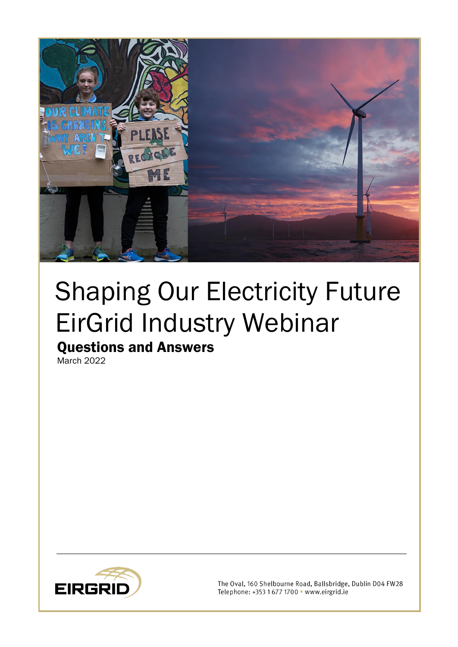

# Shaping Our Electricity Future EirGrid Industry Webinar

# Questions and Answers

March 2022



The Oval, 160 Shelbourne Road, Ballsbridge, Dublin D04 FW28 Telephone: +353 1 677 1700 · www.eirgrid.ie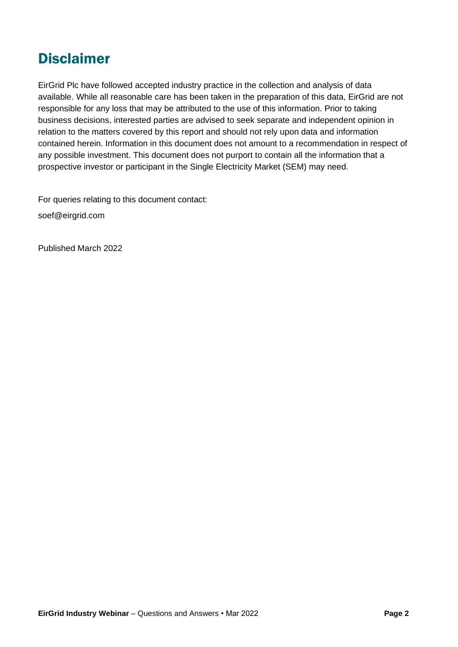# Disclaimer

EirGrid Plc have followed accepted industry practice in the collection and analysis of data available. While all reasonable care has been taken in the preparation of this data, EirGrid are not responsible for any loss that may be attributed to the use of this information. Prior to taking business decisions, interested parties are advised to seek separate and independent opinion in relation to the matters covered by this report and should not rely upon data and information contained herein. Information in this document does not amount to a recommendation in respect of any possible investment. This document does not purport to contain all the information that a prospective investor or participant in the Single Electricity Market (SEM) may need.

For queries relating to this document contact:

soef@eirgrid.com

Published March 2022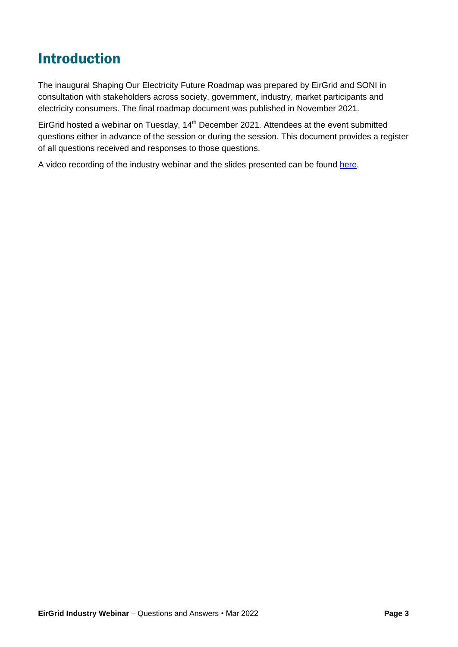# Introduction

The inaugural Shaping Our Electricity Future Roadmap was prepared by EirGrid and SONI in consultation with stakeholders across society, government, industry, market participants and electricity consumers. The final roadmap document was published in November 2021.

EirGrid hosted a webinar on Tuesday, 14<sup>th</sup> December 2021. Attendees at the event submitted questions either in advance of the session or during the session. This document provides a register of all questions received and responses to those questions.

A video recording of the industry webinar and the slides presented can be found [here.](https://www.eirgridgroup.com/the-grid/shaping-our-electricity-f/)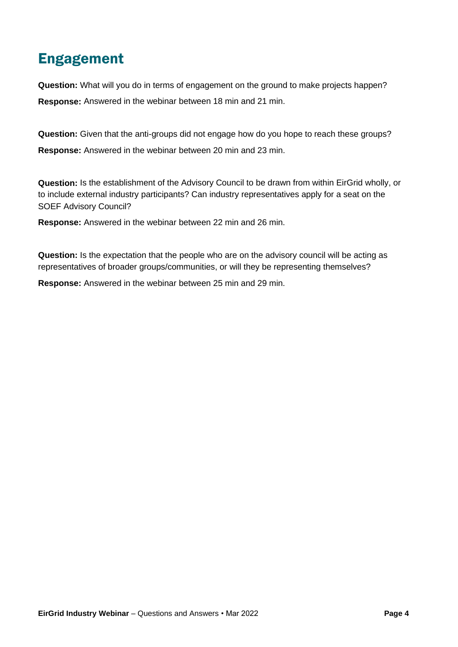# Engagement

**Question:** What will you do in terms of engagement on the ground to make projects happen? **Response:** Answered in the webinar between 18 min and 21 min.

**Question:** Given that the anti-groups did not engage how do you hope to reach these groups? **Response:** Answered in the webinar between 20 min and 23 min.

**Question:** Is the establishment of the Advisory Council to be drawn from within EirGrid wholly, or to include external industry participants? Can industry representatives apply for a seat on the SOEF Advisory Council?

**Response:** Answered in the webinar between 22 min and 26 min.

**Question:** Is the expectation that the people who are on the advisory council will be acting as representatives of broader groups/communities, or will they be representing themselves?

**Response:** Answered in the webinar between 25 min and 29 min.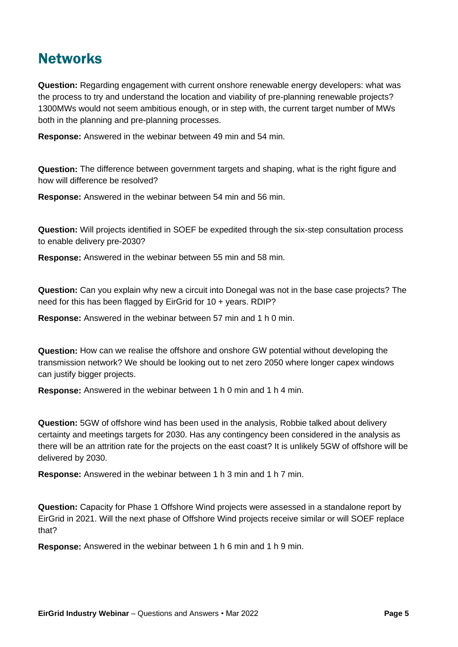## **Networks**

**Question:** Regarding engagement with current onshore renewable energy developers: what was the process to try and understand the location and viability of pre-planning renewable projects? 1300MWs would not seem ambitious enough, or in step with, the current target number of MWs both in the planning and pre-planning processes.

**Response:** Answered in the webinar between 49 min and 54 min.

**Question:** The difference between government targets and shaping, what is the right figure and how will difference be resolved?

**Response:** Answered in the webinar between 54 min and 56 min.

**Question:** Will projects identified in SOEF be expedited through the six-step consultation process to enable delivery pre-2030?

**Response:** Answered in the webinar between 55 min and 58 min.

**Question:** Can you explain why new a circuit into Donegal was not in the base case projects? The need for this has been flagged by EirGrid for 10 + years. RDIP?

**Response:** Answered in the webinar between 57 min and 1 h 0 min.

**Question:** How can we realise the offshore and onshore GW potential without developing the transmission network? We should be looking out to net zero 2050 where longer capex windows can justify bigger projects.

**Response:** Answered in the webinar between 1 h 0 min and 1 h 4 min.

**Question:** 5GW of offshore wind has been used in the analysis, Robbie talked about delivery certainty and meetings targets for 2030. Has any contingency been considered in the analysis as there will be an attrition rate for the projects on the east coast? It is unlikely 5GW of offshore will be delivered by 2030.

**Response:** Answered in the webinar between 1 h 3 min and 1 h 7 min.

**Question:** Capacity for Phase 1 Offshore Wind projects were assessed in a standalone report by EirGrid in 2021. Will the next phase of Offshore Wind projects receive similar or will SOEF replace that?

**Response:** Answered in the webinar between 1 h 6 min and 1 h 9 min.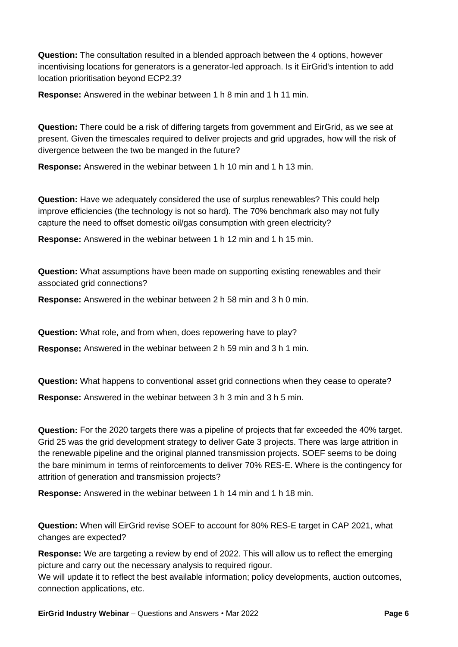**Question:** The consultation resulted in a blended approach between the 4 options, however incentivising locations for generators is a generator-led approach. Is it EirGrid's intention to add location prioritisation beyond ECP2.3?

**Response:** Answered in the webinar between 1 h 8 min and 1 h 11 min.

**Question:** There could be a risk of differing targets from government and EirGrid, as we see at present. Given the timescales required to deliver projects and grid upgrades, how will the risk of divergence between the two be manged in the future?

**Response:** Answered in the webinar between 1 h 10 min and 1 h 13 min.

**Question:** Have we adequately considered the use of surplus renewables? This could help improve efficiencies (the technology is not so hard). The 70% benchmark also may not fully capture the need to offset domestic oil/gas consumption with green electricity?

**Response:** Answered in the webinar between 1 h 12 min and 1 h 15 min.

**Question:** What assumptions have been made on supporting existing renewables and their associated grid connections?

**Response:** Answered in the webinar between 2 h 58 min and 3 h 0 min.

**Question:** What role, and from when, does repowering have to play?

**Response:** Answered in the webinar between 2 h 59 min and 3 h 1 min.

**Question:** What happens to conventional asset grid connections when they cease to operate? **Response:** Answered in the webinar between 3 h 3 min and 3 h 5 min.

**Question:** For the 2020 targets there was a pipeline of projects that far exceeded the 40% target. Grid 25 was the grid development strategy to deliver Gate 3 projects. There was large attrition in the renewable pipeline and the original planned transmission projects. SOEF seems to be doing the bare minimum in terms of reinforcements to deliver 70% RES-E. Where is the contingency for attrition of generation and transmission projects?

**Response:** Answered in the webinar between 1 h 14 min and 1 h 18 min.

**Question:** When will EirGrid revise SOEF to account for 80% RES-E target in CAP 2021, what changes are expected?

**Response:** We are targeting a review by end of 2022. This will allow us to reflect the emerging picture and carry out the necessary analysis to required rigour.

We will update it to reflect the best available information; policy developments, auction outcomes, connection applications, etc.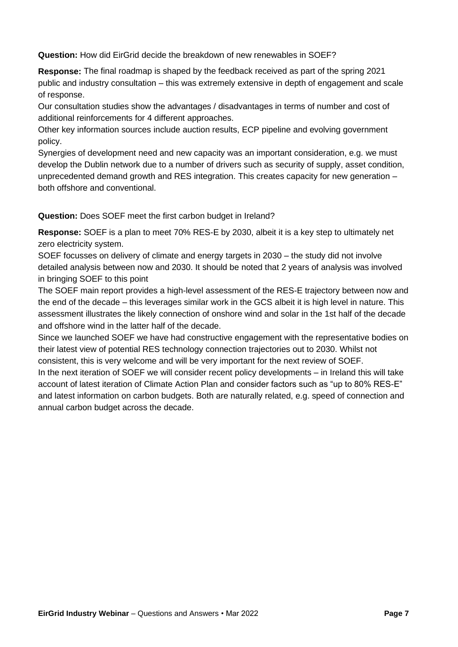**Question:** How did EirGrid decide the breakdown of new renewables in SOEF?

**Response:** The final roadmap is shaped by the feedback received as part of the spring 2021 public and industry consultation – this was extremely extensive in depth of engagement and scale of response.

Our consultation studies show the advantages / disadvantages in terms of number and cost of additional reinforcements for 4 different approaches.

Other key information sources include auction results, ECP pipeline and evolving government policy.

Synergies of development need and new capacity was an important consideration, e.g. we must develop the Dublin network due to a number of drivers such as security of supply, asset condition, unprecedented demand growth and RES integration. This creates capacity for new generation – both offshore and conventional.

**Question:** Does SOEF meet the first carbon budget in Ireland?

**Response:** SOEF is a plan to meet 70% RES-E by 2030, albeit it is a key step to ultimately net zero electricity system.

SOEF focusses on delivery of climate and energy targets in 2030 – the study did not involve detailed analysis between now and 2030. It should be noted that 2 years of analysis was involved in bringing SOEF to this point

The SOEF main report provides a high-level assessment of the RES-E trajectory between now and the end of the decade – this leverages similar work in the GCS albeit it is high level in nature. This assessment illustrates the likely connection of onshore wind and solar in the 1st half of the decade and offshore wind in the latter half of the decade.

Since we launched SOEF we have had constructive engagement with the representative bodies on their latest view of potential RES technology connection trajectories out to 2030. Whilst not consistent, this is very welcome and will be very important for the next review of SOEF.

In the next iteration of SOEF we will consider recent policy developments – in Ireland this will take account of latest iteration of Climate Action Plan and consider factors such as "up to 80% RES-E" and latest information on carbon budgets. Both are naturally related, e.g. speed of connection and annual carbon budget across the decade.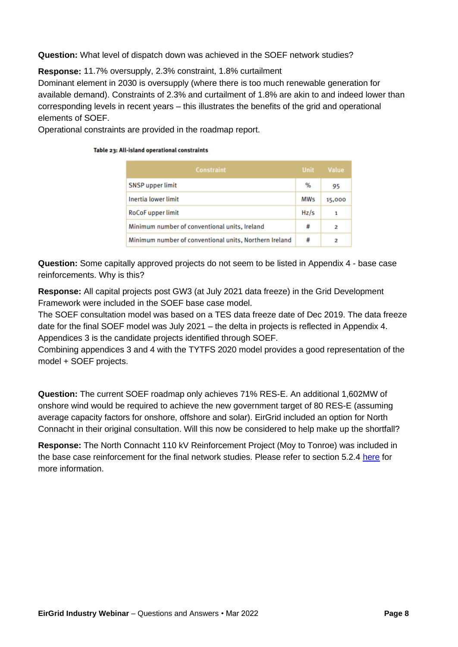**Question:** What level of dispatch down was achieved in the SOEF network studies?

**Response:** 11.7% oversupply, 2.3% constraint, 1.8% curtailment

Dominant element in 2030 is oversupply (where there is too much renewable generation for available demand). Constraints of 2.3% and curtailment of 1.8% are akin to and indeed lower than corresponding levels in recent years – this illustrates the benefits of the grid and operational elements of SOEF.

Operational constraints are provided in the roadmap report.

#### Table 23: All-island operational constraints

| Constraint                                             |            | Unit Value |
|--------------------------------------------------------|------------|------------|
| <b>SNSP</b> upper limit                                | %          | 95         |
| Inertia lower limit                                    | <b>MWs</b> | 15,000     |
| <b>RoCoF</b> upper limit                               | Hz/s       | 1          |
| Minimum number of conventional units, Ireland          |            | 2          |
| Minimum number of conventional units, Northern Ireland |            | 2          |

**Question:** Some capitally approved projects do not seem to be listed in Appendix 4 - base case reinforcements. Why is this?

**Response:** All capital projects post GW3 (at July 2021 data freeze) in the Grid Development Framework were included in the SOEF base case model.

The SOEF consultation model was based on a TES data freeze date of Dec 2019. The data freeze date for the final SOEF model was July 2021 – the delta in projects is reflected in Appendix 4. Appendices 3 is the candidate projects identified through SOEF.

Combining appendices 3 and 4 with the TYTFS 2020 model provides a good representation of the model + SOEF projects.

**Question:** The current SOEF roadmap only achieves 71% RES-E. An additional 1,602MW of onshore wind would be required to achieve the new government target of 80 RES-E (assuming average capacity factors for onshore, offshore and solar). EirGrid included an option for North Connacht in their original consultation. Will this now be considered to help make up the shortfall?

**Response:** The North Connacht 110 kV Reinforcement Project (Moy to Tonroe) was included in the base case reinforcement for the final network studies. Please refer to section 5.2.4 [here](http://www.eirgridgroup.com/site-files/library/EirGrid/Shaping_Our_Electricity_Future_Roadmap.pdf) for more information.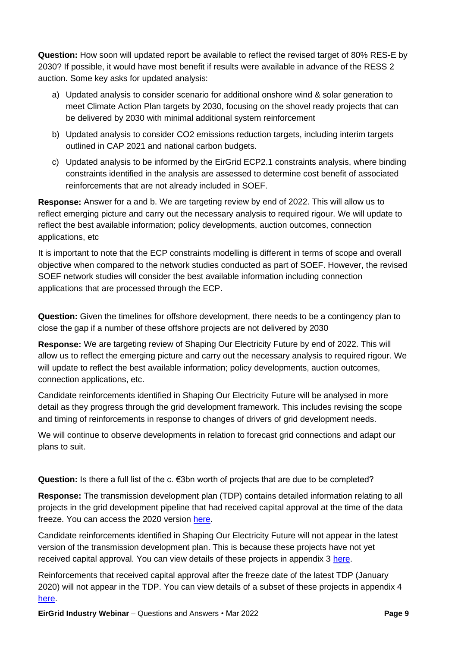**Question:** How soon will updated report be available to reflect the revised target of 80% RES-E by 2030? If possible, it would have most benefit if results were available in advance of the RESS 2 auction. Some key asks for updated analysis:

- a) Updated analysis to consider scenario for additional onshore wind & solar generation to meet Climate Action Plan targets by 2030, focusing on the shovel ready projects that can be delivered by 2030 with minimal additional system reinforcement
- b) Updated analysis to consider CO2 emissions reduction targets, including interim targets outlined in CAP 2021 and national carbon budgets.
- c) Updated analysis to be informed by the EirGrid ECP2.1 constraints analysis, where binding constraints identified in the analysis are assessed to determine cost benefit of associated reinforcements that are not already included in SOEF.

**Response:** Answer for a and b. We are targeting review by end of 2022. This will allow us to reflect emerging picture and carry out the necessary analysis to required rigour. We will update to reflect the best available information; policy developments, auction outcomes, connection applications, etc

It is important to note that the ECP constraints modelling is different in terms of scope and overall objective when compared to the network studies conducted as part of SOEF. However, the revised SOEF network studies will consider the best available information including connection applications that are processed through the ECP.

**Question:** Given the timelines for offshore development, there needs to be a contingency plan to close the gap if a number of these offshore projects are not delivered by 2030

**Response:** We are targeting review of Shaping Our Electricity Future by end of 2022. This will allow us to reflect the emerging picture and carry out the necessary analysis to required rigour. We will update to reflect the best available information; policy developments, auction outcomes, connection applications, etc.

Candidate reinforcements identified in Shaping Our Electricity Future will be analysed in more detail as they progress through the grid development framework. This includes revising the scope and timing of reinforcements in response to changes of drivers of grid development needs.

We will continue to observe developments in relation to forecast grid connections and adapt our plans to suit.

Question: Is there a full list of the c. €3bn worth of projects that are due to be completed?

**Response:** The transmission development plan (TDP) contains detailed information relating to all projects in the grid development pipeline that had received capital approval at the time of the data freeze. You can access the 2020 version [here.](https://www.eirgridgroup.com/site-files/library/EirGrid/Transmission-Development-Plan-2020-2029.pdf)

Candidate reinforcements identified in Shaping Our Electricity Future will not appear in the latest version of the transmission development plan. This is because these projects have not yet received capital approval. You can view details of these projects in appendix 3 [here.](http://www.eirgridgroup.com/site-files/library/EirGrid/Shaping_Our_Electricity_Future_Roadmap.pdf)

Reinforcements that received capital approval after the freeze date of the latest TDP (January 2020) will not appear in the TDP. You can view details of a subset of these projects in appendix 4 [here.](http://www.eirgridgroup.com/site-files/library/EirGrid/Shaping_Our_Electricity_Future_Roadmap.pdf)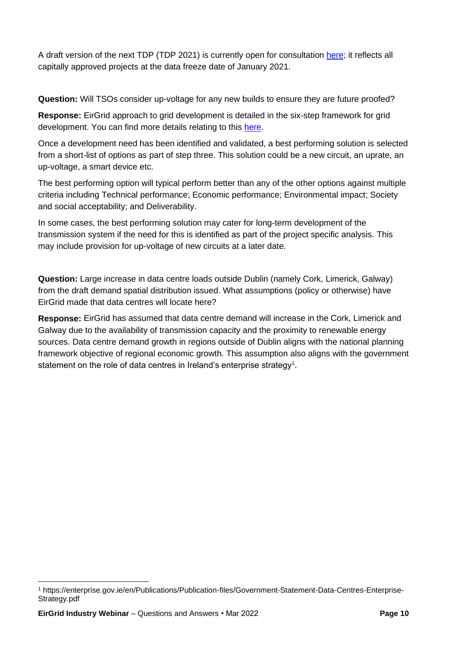A draft version of the next TDP (TDP 2021) is currently open for consultation [here;](https://www.cru.ie/document_group/cru-consultation-on-transmission-development-plan-tdp-2021-2030/) it reflects all capitally approved projects at the data freeze date of January 2021.

**Question:** Will TSOs consider up-voltage for any new builds to ensure they are future proofed?

**Response:** EirGrid approach to grid development is detailed in the six-step framework for grid development. You can find more details relating to this [here.](https://www.eirgridgroup.com/__uuid/7d658280-91a2-4dbb-b438-ef005a857761/EirGrid-Have-Your-Say_May-2017.pdf)

Once a development need has been identified and validated, a best performing solution is selected from a short-list of options as part of step three. This solution could be a new circuit, an uprate, an up-voltage, a smart device etc.

The best performing option will typical perform better than any of the other options against multiple criteria including Technical performance; Economic performance; Environmental impact; Society and social acceptability; and Deliverability.

In some cases, the best performing solution may cater for long-term development of the transmission system if the need for this is identified as part of the project specific analysis. This may include provision for up-voltage of new circuits at a later date.

**Question:** Large increase in data centre loads outside Dublin (namely Cork, Limerick, Galway) from the draft demand spatial distribution issued. What assumptions (policy or otherwise) have EirGrid made that data centres will locate here?

**Response:** EirGrid has assumed that data centre demand will increase in the Cork, Limerick and Galway due to the availability of transmission capacity and the proximity to renewable energy sources. Data centre demand growth in regions outside of Dublin aligns with the national planning framework objective of regional economic growth. This assumption also aligns with the government statement on the role of data centres in Ireland's enterprise strategy $^{\rm 1}.$ 

<sup>1</sup> https://enterprise.gov.ie/en/Publications/Publication-files/Government-Statement-Data-Centres-Enterprise-Strategy.pdf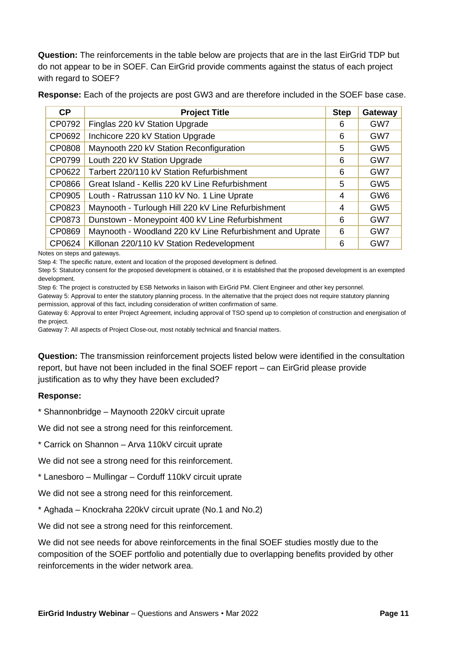**Question:** The reinforcements in the table below are projects that are in the last EirGrid TDP but do not appear to be in SOEF. Can EirGrid provide comments against the status of each project with regard to SOEF?

**Response:** Each of the projects are post GW3 and are therefore included in the SOEF base case.

| CP     | <b>Project Title</b>                                     | <b>Step</b> | Gateway         |
|--------|----------------------------------------------------------|-------------|-----------------|
| CP0792 | Finglas 220 kV Station Upgrade                           |             | GW7             |
| CP0692 | Inchicore 220 kV Station Upgrade                         | 6           | GW7             |
| CP0808 | Maynooth 220 kV Station Reconfiguration                  | 5           | GW <sub>5</sub> |
| CP0799 | Louth 220 kV Station Upgrade                             | 6           | GW7             |
| CP0622 | Tarbert 220/110 kV Station Refurbishment                 | 6           | GW7             |
| CP0866 | Great Island - Kellis 220 kV Line Refurbishment          | 5           | GW <sub>5</sub> |
| CP0905 | Louth - Ratrussan 110 kV No. 1 Line Uprate               | 4           | GW <sub>6</sub> |
| CP0823 | Maynooth - Turlough Hill 220 kV Line Refurbishment       | 4           | GW <sub>5</sub> |
| CP0873 | Dunstown - Moneypoint 400 kV Line Refurbishment          | 6           | GW7             |
| CP0869 | Maynooth - Woodland 220 kV Line Refurbishment and Uprate | 6           | GW7             |
| CP0624 | Killonan 220/110 kV Station Redevelopment                | 6           | GW7             |

Notes on steps and gateways.

Step 4: The specific nature, extent and location of the proposed development is defined.

Step 5: Statutory consent for the proposed development is obtained, or it is established that the proposed development is an exempted development.

Step 6: The project is constructed by ESB Networks in liaison with EirGrid PM. Client Engineer and other key personnel.

Gateway 5: Approval to enter the statutory planning process. In the alternative that the project does not require statutory planning permission, approval of this fact, including consideration of written confirmation of same.

Gateway 6: Approval to enter Project Agreement, including approval of TSO spend up to completion of construction and energisation of the project.

Gateway 7: All aspects of Project Close-out, most notably technical and financial matters.

**Question:** The transmission reinforcement projects listed below were identified in the consultation report, but have not been included in the final SOEF report – can EirGrid please provide justification as to why they have been excluded?

#### **Response:**

\* Shannonbridge – Maynooth 220kV circuit uprate

We did not see a strong need for this reinforcement.

\* Carrick on Shannon – Arva 110kV circuit uprate

We did not see a strong need for this reinforcement.

\* Lanesboro – Mullingar – Corduff 110kV circuit uprate

We did not see a strong need for this reinforcement.

\* Aghada – Knockraha 220kV circuit uprate (No.1 and No.2)

We did not see a strong need for this reinforcement.

We did not see needs for above reinforcements in the final SOEF studies mostly due to the composition of the SOEF portfolio and potentially due to overlapping benefits provided by other reinforcements in the wider network area.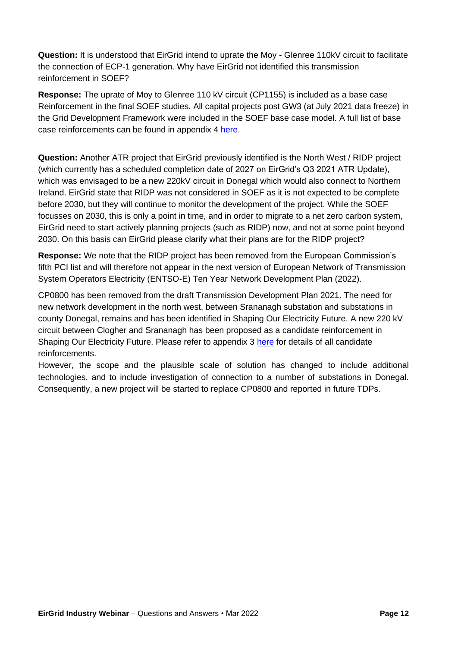**Question:** It is understood that EirGrid intend to uprate the Moy - Glenree 110kV circuit to facilitate the connection of ECP-1 generation. Why have EirGrid not identified this transmission reinforcement in SOEF?

**Response:** The uprate of Moy to Glenree 110 kV circuit (CP1155) is included as a base case Reinforcement in the final SOEF studies. All capital projects post GW3 (at July 2021 data freeze) in the Grid Development Framework were included in the SOEF base case model. A full list of base case reinforcements can be found in appendix 4 [here.](http://www.eirgridgroup.com/site-files/library/EirGrid/Shaping_Our_Electricity_Future_Roadmap.pdf)

**Question:** Another ATR project that EirGrid previously identified is the North West / RIDP project (which currently has a scheduled completion date of 2027 on EirGrid's Q3 2021 ATR Update), which was envisaged to be a new 220kV circuit in Donegal which would also connect to Northern Ireland. EirGrid state that RIDP was not considered in SOEF as it is not expected to be complete before 2030, but they will continue to monitor the development of the project. While the SOEF focusses on 2030, this is only a point in time, and in order to migrate to a net zero carbon system, EirGrid need to start actively planning projects (such as RIDP) now, and not at some point beyond 2030. On this basis can EirGrid please clarify what their plans are for the RIDP project?

**Response:** We note that the RIDP project has been removed from the European Commission's fifth PCI list and will therefore not appear in the next version of European Network of Transmission System Operators Electricity (ENTSO-E) Ten Year Network Development Plan (2022).

CP0800 has been removed from the draft Transmission Development Plan 2021. The need for new network development in the north west, between Srananagh substation and substations in county Donegal, remains and has been identified in Shaping Our Electricity Future. A new 220 kV circuit between Clogher and Srananagh has been proposed as a candidate reinforcement in Shaping Our Electricity Future. Please refer to appendix 3 [here](http://www.eirgridgroup.com/site-files/library/EirGrid/Shaping_Our_Electricity_Future_Roadmap.pdf) for details of all candidate reinforcements.

However, the scope and the plausible scale of solution has changed to include additional technologies, and to include investigation of connection to a number of substations in Donegal. Consequently, a new project will be started to replace CP0800 and reported in future TDPs.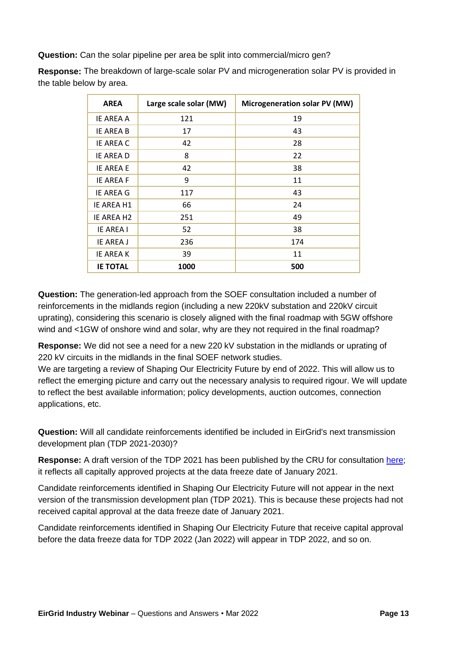**Question:** Can the solar pipeline per area be split into commercial/micro gen?

**Response:** The breakdown of large-scale solar PV and microgeneration solar PV is provided in the table below by area.

| <b>AREA</b>            | Large scale solar (MW) | Microgeneration solar PV (MW) |
|------------------------|------------------------|-------------------------------|
| <b>IE AREA A</b>       | 121                    | 19                            |
| <b>IE AREA B</b>       | 17                     | 43                            |
| <b>IE AREA C</b>       | 42                     | 28                            |
| IE AREA D              | 8                      | 22                            |
| <b>IE AREA E</b>       | 42                     | 38                            |
| <b>IE AREA F</b>       | 9                      | 11                            |
| IE AREA G              | 117                    | 43                            |
| IE AREA H1             | 66                     | 24                            |
| IE AREA H <sub>2</sub> | 251                    | 49                            |
| <b>IE AREA I</b>       | 52                     | 38                            |
| IE AREA J              | 236                    | 174                           |
| <b>IE AREAK</b>        | 39                     | 11                            |
| <b>IE TOTAL</b>        | 1000                   | 500                           |

**Question:** The generation-led approach from the SOEF consultation included a number of reinforcements in the midlands region (including a new 220kV substation and 220kV circuit uprating), considering this scenario is closely aligned with the final roadmap with 5GW offshore wind and <1GW of onshore wind and solar, why are they not required in the final roadmap?

**Response:** We did not see a need for a new 220 kV substation in the midlands or uprating of 220 kV circuits in the midlands in the final SOEF network studies.

We are targeting a review of Shaping Our Electricity Future by end of 2022. This will allow us to reflect the emerging picture and carry out the necessary analysis to required rigour. We will update to reflect the best available information; policy developments, auction outcomes, connection applications, etc.

**Question:** Will all candidate reinforcements identified be included in EirGrid's next transmission development plan (TDP 2021-2030)?

**Response:** A draft version of the TDP 2021 has been published by the CRU for consultation [here;](https://www.cru.ie/document_group/cru-consultation-on-transmission-development-plan-tdp-2021-2030/) it reflects all capitally approved projects at the data freeze date of January 2021.

Candidate reinforcements identified in Shaping Our Electricity Future will not appear in the next version of the transmission development plan (TDP 2021). This is because these projects had not received capital approval at the data freeze date of January 2021.

Candidate reinforcements identified in Shaping Our Electricity Future that receive capital approval before the data freeze data for TDP 2022 (Jan 2022) will appear in TDP 2022, and so on.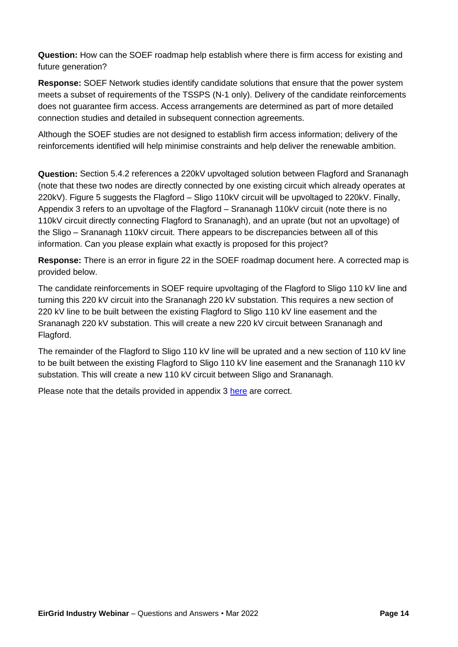**Question:** How can the SOEF roadmap help establish where there is firm access for existing and future generation?

**Response:** SOEF Network studies identify candidate solutions that ensure that the power system meets a subset of requirements of the TSSPS (N-1 only). Delivery of the candidate reinforcements does not guarantee firm access. Access arrangements are determined as part of more detailed connection studies and detailed in subsequent connection agreements.

Although the SOEF studies are not designed to establish firm access information; delivery of the reinforcements identified will help minimise constraints and help deliver the renewable ambition.

**Question:** Section 5.4.2 references a 220kV upvoltaged solution between Flagford and Srananagh (note that these two nodes are directly connected by one existing circuit which already operates at 220kV). Figure 5 suggests the Flagford – Sligo 110kV circuit will be upvoltaged to 220kV. Finally, Appendix 3 refers to an upvoltage of the Flagford – Srananagh 110kV circuit (note there is no 110kV circuit directly connecting Flagford to Srananagh), and an uprate (but not an upvoltage) of the Sligo – Srananagh 110kV circuit. There appears to be discrepancies between all of this information. Can you please explain what exactly is proposed for this project?

**Response:** There is an error in figure 22 in the SOEF roadmap document [here.](http://www.eirgridgroup.com/site-files/library/EirGrid/Shaping_Our_Electricity_Future_Roadmap.pdf) A corrected map is provided below.

The candidate reinforcements in SOEF require upvoltaging of the Flagford to Sligo 110 kV line and turning this 220 kV circuit into the Srananagh 220 kV substation. This requires a new section of 220 kV line to be built between the existing Flagford to Sligo 110 kV line easement and the Srananagh 220 kV substation. This will create a new 220 kV circuit between Srananagh and Flagford.

The remainder of the Flagford to Sligo 110 kV line will be uprated and a new section of 110 kV line to be built between the existing Flagford to Sligo 110 kV line easement and the Srananagh 110 kV substation. This will create a new 110 kV circuit between Sligo and Srananagh.

Please note that the details provided in appendix 3 [here](http://www.eirgridgroup.com/site-files/library/EirGrid/Shaping_Our_Electricity_Future_Roadmap.pdf) are correct.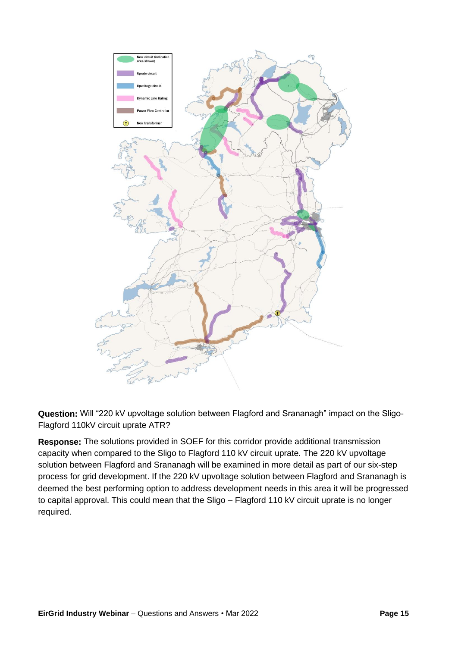

**Question:** Will "220 kV upvoltage solution between Flagford and Srananagh" impact on the Sligo-Flagford 110kV circuit uprate ATR?

**Response:** The solutions provided in SOEF for this corridor provide additional transmission capacity when compared to the Sligo to Flagford 110 kV circuit uprate. The 220 kV upvoltage solution between Flagford and Srananagh will be examined in more detail as part of our six-step process for grid development. If the 220 kV upvoltage solution between Flagford and Srananagh is deemed the best performing option to address development needs in this area it will be progressed to capital approval. This could mean that the Sligo – Flagford 110 kV circuit uprate is no longer required.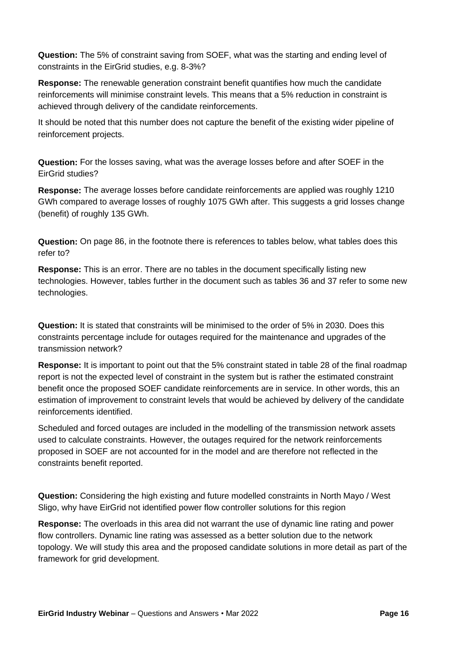**Question:** The 5% of constraint saving from SOEF, what was the starting and ending level of constraints in the EirGrid studies, e.g. 8-3%?

**Response:** The renewable generation constraint benefit quantifies how much the candidate reinforcements will minimise constraint levels. This means that a 5% reduction in constraint is achieved through delivery of the candidate reinforcements.

It should be noted that this number does not capture the benefit of the existing wider pipeline of reinforcement projects.

**Question:** For the losses saving, what was the average losses before and after SOEF in the EirGrid studies?

**Response:** The average losses before candidate reinforcements are applied was roughly 1210 GWh compared to average losses of roughly 1075 GWh after. This suggests a grid losses change (benefit) of roughly 135 GWh.

**Question:** On page 86, in the footnote there is references to tables below, what tables does this refer to?

**Response:** This is an error. There are no tables in the document specifically listing new technologies. However, tables further in the document such as tables 36 and 37 refer to some new technologies.

**Question:** It is stated that constraints will be minimised to the order of 5% in 2030. Does this constraints percentage include for outages required for the maintenance and upgrades of the transmission network?

**Response:** It is important to point out that the 5% constraint stated in table 28 of the final roadmap report is not the expected level of constraint in the system but is rather the estimated constraint benefit once the proposed SOEF candidate reinforcements are in service. In other words, this an estimation of improvement to constraint levels that would be achieved by delivery of the candidate reinforcements identified.

Scheduled and forced outages are included in the modelling of the transmission network assets used to calculate constraints. However, the outages required for the network reinforcements proposed in SOEF are not accounted for in the model and are therefore not reflected in the constraints benefit reported.

**Question:** Considering the high existing and future modelled constraints in North Mayo / West Sligo, why have EirGrid not identified power flow controller solutions for this region

**Response:** The overloads in this area did not warrant the use of dynamic line rating and power flow controllers. Dynamic line rating was assessed as a better solution due to the network topology. We will study this area and the proposed candidate solutions in more detail as part of the framework for grid development.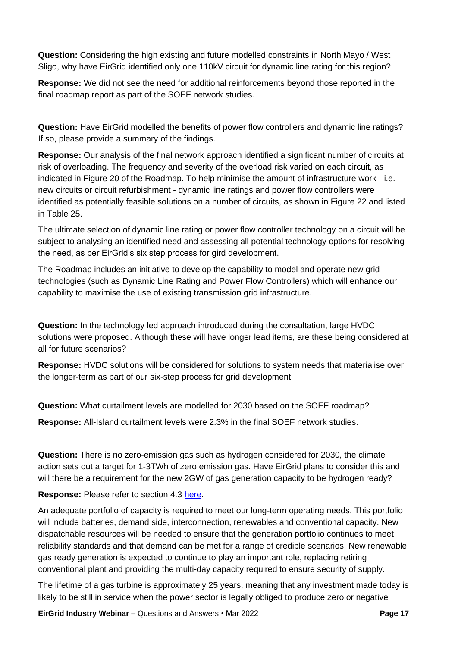**Question:** Considering the high existing and future modelled constraints in North Mayo / West Sligo, why have EirGrid identified only one 110kV circuit for dynamic line rating for this region?

**Response:** We did not see the need for additional reinforcements beyond those reported in the final roadmap report as part of the SOEF network studies.

**Question:** Have EirGrid modelled the benefits of power flow controllers and dynamic line ratings? If so, please provide a summary of the findings.

**Response:** Our analysis of the final network approach identified a significant number of circuits at risk of overloading. The frequency and severity of the overload risk varied on each circuit, as indicated in Figure 20 of the Roadmap. To help minimise the amount of infrastructure work - i.e. new circuits or circuit refurbishment - dynamic line ratings and power flow controllers were identified as potentially feasible solutions on a number of circuits, as shown in Figure 22 and listed in Table 25.

The ultimate selection of dynamic line rating or power flow controller technology on a circuit will be subject to analysing an identified need and assessing all potential technology options for resolving the need, as per EirGrid's six step process for gird development.

The Roadmap includes an initiative to develop the capability to model and operate new grid technologies (such as Dynamic Line Rating and Power Flow Controllers) which will enhance our capability to maximise the use of existing transmission grid infrastructure.

**Question:** In the technology led approach introduced during the consultation, large HVDC solutions were proposed. Although these will have longer lead items, are these being considered at all for future scenarios?

**Response:** HVDC solutions will be considered for solutions to system needs that materialise over the longer-term as part of our six-step process for grid development.

**Question:** What curtailment levels are modelled for 2030 based on the SOEF roadmap?

**Response:** All-Island curtailment levels were 2.3% in the final SOEF network studies.

**Question:** There is no zero-emission gas such as hydrogen considered for 2030, the climate action sets out a target for 1-3TWh of zero emission gas. Have EirGrid plans to consider this and will there be a requirement for the new 2GW of gas generation capacity to be hydrogen ready?

**Response:** Please refer to section 4.3 [here.](http://www.eirgridgroup.com/site-files/library/EirGrid/Shaping_Our_Electricity_Future_Roadmap.pdf)

An adequate portfolio of capacity is required to meet our long-term operating needs. This portfolio will include batteries, demand side, interconnection, renewables and conventional capacity. New dispatchable resources will be needed to ensure that the generation portfolio continues to meet reliability standards and that demand can be met for a range of credible scenarios. New renewable gas ready generation is expected to continue to play an important role, replacing retiring conventional plant and providing the multi-day capacity required to ensure security of supply.

The lifetime of a gas turbine is approximately 25 years, meaning that any investment made today is likely to be still in service when the power sector is legally obliged to produce zero or negative

**EirGrid Industry Webinar** – Questions and Answers • Mar 2022 **Page 17**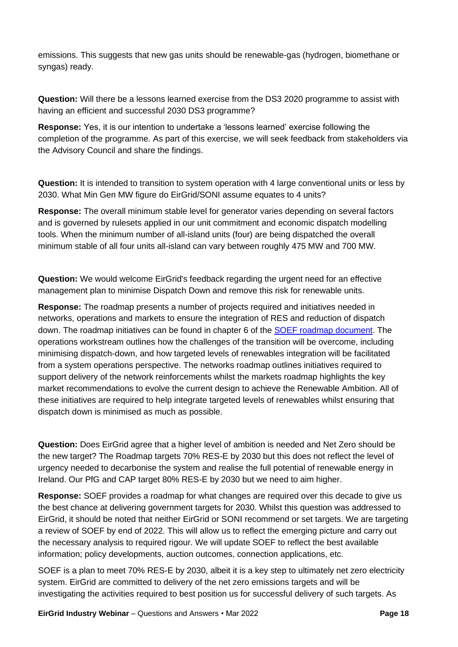emissions. This suggests that new gas units should be renewable-gas (hydrogen, biomethane or syngas) ready.

**Question:** Will there be a lessons learned exercise from the DS3 2020 programme to assist with having an efficient and successful 2030 DS3 programme?

**Response:** Yes, it is our intention to undertake a 'lessons learned' exercise following the completion of the programme. As part of this exercise, we will seek feedback from stakeholders via the Advisory Council and share the findings.

**Question:** It is intended to transition to system operation with 4 large conventional units or less by 2030. What Min Gen MW figure do EirGrid/SONI assume equates to 4 units?

**Response:** The overall minimum stable level for generator varies depending on several factors and is governed by rulesets applied in our unit commitment and economic dispatch modelling tools. When the minimum number of all-island units (four) are being dispatched the overall minimum stable of all four units all-island can vary between roughly 475 MW and 700 MW.

**Question:** We would welcome EirGrid's feedback regarding the urgent need for an effective management plan to minimise Dispatch Down and remove this risk for renewable units.

**Response:** The roadmap presents a number of projects required and initiatives needed in networks, operations and markets to ensure the integration of RES and reduction of dispatch down. The roadmap initiatives can be found in chapter 6 of the [SOEF roadmap document.](http://www.eirgridgroup.com/site-files/library/EirGrid/Shaping_Our_Electricity_Future_Roadmap.pdf) The operations workstream outlines how the challenges of the transition will be overcome, including minimising dispatch-down, and how targeted levels of renewables integration will be facilitated from a system operations perspective. The networks roadmap outlines initiatives required to support delivery of the network reinforcements whilst the markets roadmap highlights the key market recommendations to evolve the current design to achieve the Renewable Ambition. All of these initiatives are required to help integrate targeted levels of renewables whilst ensuring that dispatch down is minimised as much as possible.

**Question:** Does EirGrid agree that a higher level of ambition is needed and Net Zero should be the new target? The Roadmap targets 70% RES-E by 2030 but this does not reflect the level of urgency needed to decarbonise the system and realise the full potential of renewable energy in Ireland. Our PfG and CAP target 80% RES-E by 2030 but we need to aim higher.

**Response:** SOEF provides a roadmap for what changes are required over this decade to give us the best chance at delivering government targets for 2030. Whilst this question was addressed to EirGrid, it should be noted that neither EirGrid or SONI recommend or set targets. We are targeting a review of SOEF by end of 2022. This will allow us to reflect the emerging picture and carry out the necessary analysis to required rigour. We will update SOEF to reflect the best available information; policy developments, auction outcomes, connection applications, etc.

SOEF is a plan to meet 70% RES-E by 2030, albeit it is a key step to ultimately net zero electricity system. EirGrid are committed to delivery of the net zero emissions targets and will be investigating the activities required to best position us for successful delivery of such targets. As

**EirGrid Industry Webinar** – Questions and Answers • Mar 2022 **Page 18**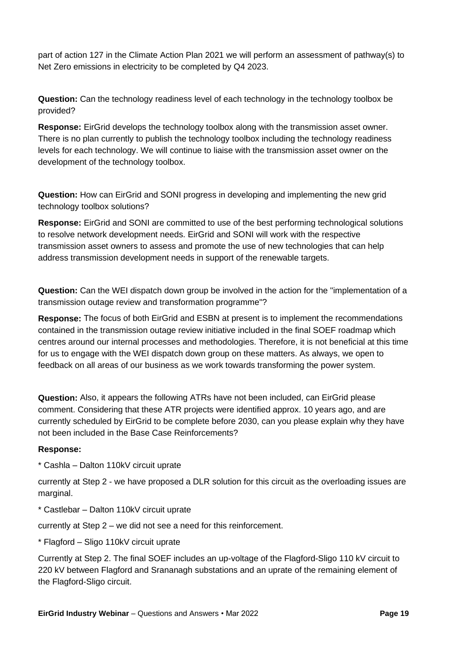part of action 127 in the Climate Action Plan 2021 we will perform an assessment of pathway(s) to Net Zero emissions in electricity to be completed by Q4 2023.

**Question:** Can the technology readiness level of each technology in the technology toolbox be provided?

**Response:** EirGrid develops the technology toolbox along with the transmission asset owner. There is no plan currently to publish the technology toolbox including the technology readiness levels for each technology. We will continue to liaise with the transmission asset owner on the development of the technology toolbox.

**Question:** How can EirGrid and SONI progress in developing and implementing the new grid technology toolbox solutions?

**Response:** EirGrid and SONI are committed to use of the best performing technological solutions to resolve network development needs. EirGrid and SONI will work with the respective transmission asset owners to assess and promote the use of new technologies that can help address transmission development needs in support of the renewable targets.

**Question:** Can the WEI dispatch down group be involved in the action for the "implementation of a transmission outage review and transformation programme"?

**Response:** The focus of both EirGrid and ESBN at present is to implement the recommendations contained in the transmission outage review initiative included in the final SOEF roadmap which centres around our internal processes and methodologies. Therefore, it is not beneficial at this time for us to engage with the WEI dispatch down group on these matters. As always, we open to feedback on all areas of our business as we work towards transforming the power system.

**Question:** Also, it appears the following ATRs have not been included, can EirGrid please comment. Considering that these ATR projects were identified approx. 10 years ago, and are currently scheduled by EirGrid to be complete before 2030, can you please explain why they have not been included in the Base Case Reinforcements?

#### **Response:**

\* Cashla – Dalton 110kV circuit uprate

currently at Step 2 - we have proposed a DLR solution for this circuit as the overloading issues are marginal.

\* Castlebar – Dalton 110kV circuit uprate

currently at Step 2 – we did not see a need for this reinforcement.

\* Flagford – Sligo 110kV circuit uprate

Currently at Step 2. The final SOEF includes an up-voltage of the Flagford-Sligo 110 kV circuit to 220 kV between Flagford and Srananagh substations and an uprate of the remaining element of the Flagford-Sligo circuit.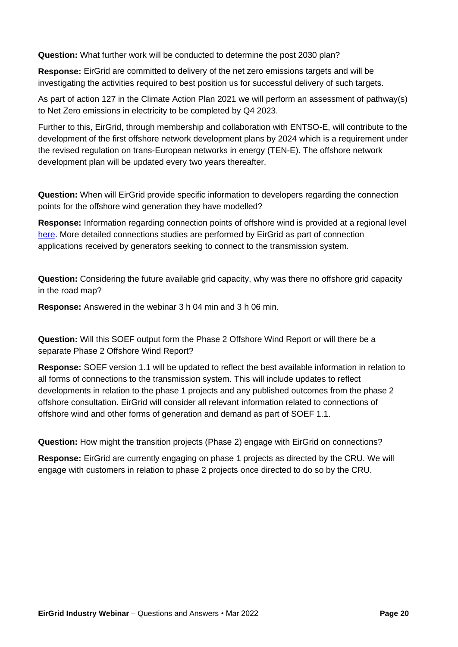**Question:** What further work will be conducted to determine the post 2030 plan?

**Response:** EirGrid are committed to delivery of the net zero emissions targets and will be investigating the activities required to best position us for successful delivery of such targets.

As part of action 127 in the Climate Action Plan 2021 we will perform an assessment of pathway(s) to Net Zero emissions in electricity to be completed by Q4 2023.

Further to this, EirGrid, through membership and collaboration with ENTSO-E, will contribute to the development of the first offshore network development plans by 2024 which is a requirement under the revised regulation on trans-European networks in energy (TEN-E). The offshore network development plan will be updated every two years thereafter.

**Question:** When will EirGrid provide specific information to developers regarding the connection points for the offshore wind generation they have modelled?

**Response:** Information regarding connection points of offshore wind is provided at a regional level [here.](http://www.eirgridgroup.com/site-files/library/EirGrid/Shaping_Our_Electricity_Future_Roadmap.pdf) More detailed connections studies are performed by EirGrid as part of connection applications received by generators seeking to connect to the transmission system.

**Question:** Considering the future available grid capacity, why was there no offshore grid capacity in the road map?

**Response:** Answered in the webinar 3 h 04 min and 3 h 06 min.

**Question:** Will this SOEF output form the Phase 2 Offshore Wind Report or will there be a separate Phase 2 Offshore Wind Report?

**Response:** SOEF version 1.1 will be updated to reflect the best available information in relation to all forms of connections to the transmission system. This will include updates to reflect developments in relation to the phase 1 projects and any published outcomes from the phase 2 offshore consultation. EirGrid will consider all relevant information related to connections of offshore wind and other forms of generation and demand as part of SOEF 1.1.

**Question:** How might the transition projects (Phase 2) engage with EirGrid on connections?

**Response:** EirGrid are currently engaging on phase 1 projects as directed by the CRU. We will engage with customers in relation to phase 2 projects once directed to do so by the CRU.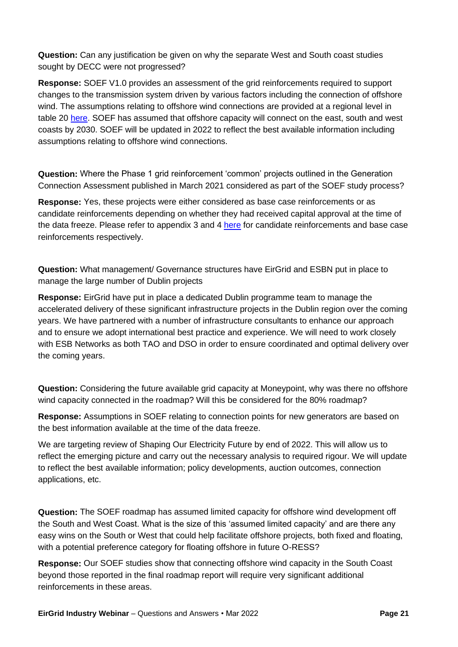**Question:** Can any justification be given on why the separate West and South coast studies sought by DECC were not progressed?

**Response:** SOEF V1.0 provides an assessment of the grid reinforcements required to support changes to the transmission system driven by various factors including the connection of offshore wind. The assumptions relating to offshore wind connections are provided at a regional level in table 20 [here.](http://www.eirgridgroup.com/site-files/library/EirGrid/Shaping_Our_Electricity_Future_Roadmap.pdf) SOEF has assumed that offshore capacity will connect on the east, south and west coasts by 2030. SOEF will be updated in 2022 to reflect the best available information including assumptions relating to offshore wind connections.

**Question:** Where the Phase 1 grid reinforcement 'common' projects outlined in the Generation Connection Assessment published in March 2021 considered as part of the SOEF study process?

**Response:** Yes, these projects were either considered as base case reinforcements or as candidate reinforcements depending on whether they had received capital approval at the time of the data freeze. Please refer to appendix 3 and 4 [here](http://www.eirgridgroup.com/site-files/library/EirGrid/Shaping_Our_Electricity_Future_Roadmap.pdf) for candidate reinforcements and base case reinforcements respectively.

**Question:** What management/ Governance structures have EirGrid and ESBN put in place to manage the large number of Dublin projects

**Response:** EirGrid have put in place a dedicated Dublin programme team to manage the accelerated delivery of these significant infrastructure projects in the Dublin region over the coming years. We have partnered with a number of infrastructure consultants to enhance our approach and to ensure we adopt international best practice and experience. We will need to work closely with ESB Networks as both TAO and DSO in order to ensure coordinated and optimal delivery over the coming years.

**Question:** Considering the future available grid capacity at Moneypoint, why was there no offshore wind capacity connected in the roadmap? Will this be considered for the 80% roadmap?

**Response:** Assumptions in SOEF relating to connection points for new generators are based on the best information available at the time of the data freeze.

We are targeting review of Shaping Our Electricity Future by end of 2022. This will allow us to reflect the emerging picture and carry out the necessary analysis to required rigour. We will update to reflect the best available information; policy developments, auction outcomes, connection applications, etc.

**Question:** The SOEF roadmap has assumed limited capacity for offshore wind development off the South and West Coast. What is the size of this 'assumed limited capacity' and are there any easy wins on the South or West that could help facilitate offshore projects, both fixed and floating, with a potential preference category for floating offshore in future O-RESS?

**Response:** Our SOEF studies show that connecting offshore wind capacity in the South Coast beyond those reported in the final roadmap report will require very significant additional reinforcements in these areas.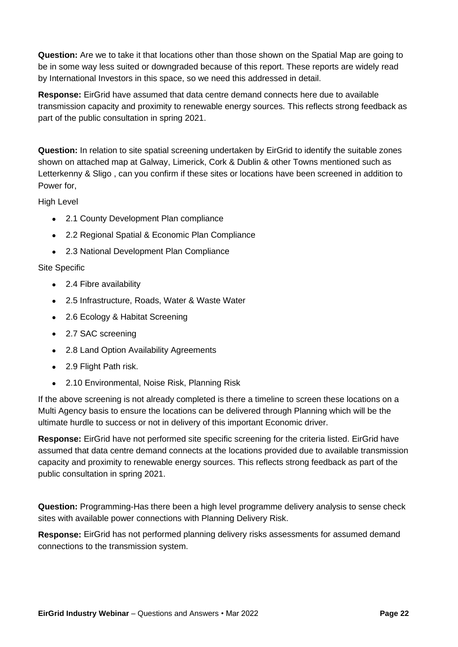**Question:** Are we to take it that locations other than those shown on the Spatial Map are going to be in some way less suited or downgraded because of this report. These reports are widely read by International Investors in this space, so we need this addressed in detail.

**Response:** EirGrid have assumed that data centre demand connects here due to available transmission capacity and proximity to renewable energy sources. This reflects strong feedback as part of the public consultation in spring 2021.

**Question:** In relation to site spatial screening undertaken by EirGrid to identify the suitable zones shown on attached map at Galway, Limerick, Cork & Dublin & other Towns mentioned such as Letterkenny & Sligo , can you confirm if these sites or locations have been screened in addition to Power for,

High Level

- 2.1 County Development Plan compliance
- 2.2 Regional Spatial & Economic Plan Compliance
- 2.3 National Development Plan Compliance

#### Site Specific

- 2.4 Fibre availability
- 2.5 Infrastructure, Roads, Water & Waste Water
- 2.6 Ecology & Habitat Screening
- 2.7 SAC screening
- 2.8 Land Option Availability Agreements
- 2.9 Flight Path risk.
- 2.10 Environmental, Noise Risk, Planning Risk

If the above screening is not already completed is there a timeline to screen these locations on a Multi Agency basis to ensure the locations can be delivered through Planning which will be the ultimate hurdle to success or not in delivery of this important Economic driver.

**Response:** EirGrid have not performed site specific screening for the criteria listed. EirGrid have assumed that data centre demand connects at the locations provided due to available transmission capacity and proximity to renewable energy sources. This reflects strong feedback as part of the public consultation in spring 2021.

**Question:** Programming-Has there been a high level programme delivery analysis to sense check sites with available power connections with Planning Delivery Risk.

**Response:** EirGrid has not performed planning delivery risks assessments for assumed demand connections to the transmission system.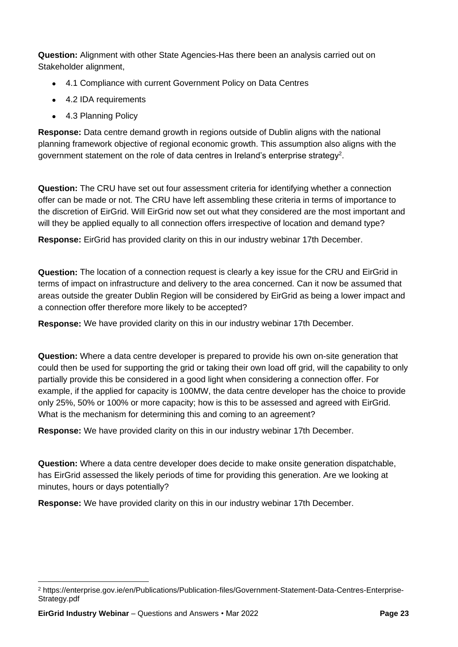**Question:** Alignment with other State Agencies-Has there been an analysis carried out on Stakeholder alignment,

- 4.1 Compliance with current Government Policy on Data Centres
- 4.2 IDA requirements
- 4.3 Planning Policy

**Response:** Data centre demand growth in regions outside of Dublin aligns with the national planning framework objective of regional economic growth. This assumption also aligns with the government statement on the role of data centres in Ireland's enterprise strategy<sup>2</sup>.

**Question:** The CRU have set out four assessment criteria for identifying whether a connection offer can be made or not. The CRU have left assembling these criteria in terms of importance to the discretion of EirGrid. Will EirGrid now set out what they considered are the most important and will they be applied equally to all connection offers irrespective of location and demand type?

**Response:** EirGrid has provided clarity on this in our industry webinar 17th December.

**Question:** The location of a connection request is clearly a key issue for the CRU and EirGrid in terms of impact on infrastructure and delivery to the area concerned. Can it now be assumed that areas outside the greater Dublin Region will be considered by EirGrid as being a lower impact and a connection offer therefore more likely to be accepted?

**Response:** We have provided clarity on this in our industry webinar 17th December.

**Question:** Where a data centre developer is prepared to provide his own on-site generation that could then be used for supporting the grid or taking their own load off grid, will the capability to only partially provide this be considered in a good light when considering a connection offer. For example, if the applied for capacity is 100MW, the data centre developer has the choice to provide only 25%, 50% or 100% or more capacity; how is this to be assessed and agreed with EirGrid. What is the mechanism for determining this and coming to an agreement?

**Response:** We have provided clarity on this in our industry webinar 17th December.

**Question:** Where a data centre developer does decide to make onsite generation dispatchable, has EirGrid assessed the likely periods of time for providing this generation. Are we looking at minutes, hours or days potentially?

**Response:** We have provided clarity on this in our industry webinar 17th December.

<sup>2</sup> https://enterprise.gov.ie/en/Publications/Publication-files/Government-Statement-Data-Centres-Enterprise-Strategy.pdf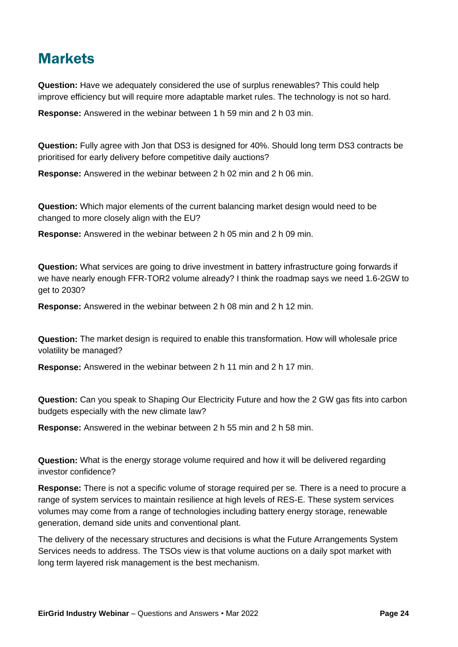## **Markets**

**Question:** Have we adequately considered the use of surplus renewables? This could help improve efficiency but will require more adaptable market rules. The technology is not so hard.

**Response:** Answered in the webinar between 1 h 59 min and 2 h 03 min.

**Question:** Fully agree with Jon that DS3 is designed for 40%. Should long term DS3 contracts be prioritised for early delivery before competitive daily auctions?

**Response:** Answered in the webinar between 2 h 02 min and 2 h 06 min.

**Question:** Which major elements of the current balancing market design would need to be changed to more closely align with the EU?

**Response:** Answered in the webinar between 2 h 05 min and 2 h 09 min.

**Question:** What services are going to drive investment in battery infrastructure going forwards if we have nearly enough FFR-TOR2 volume already? I think the roadmap says we need 1.6-2GW to get to 2030?

**Response:** Answered in the webinar between 2 h 08 min and 2 h 12 min.

**Question:** The market design is required to enable this transformation. How will wholesale price volatility be managed?

**Response:** Answered in the webinar between 2 h 11 min and 2 h 17 min.

**Question:** Can you speak to Shaping Our Electricity Future and how the 2 GW gas fits into carbon budgets especially with the new climate law?

**Response:** Answered in the webinar between 2 h 55 min and 2 h 58 min.

**Question:** What is the energy storage volume required and how it will be delivered regarding investor confidence?

**Response:** There is not a specific volume of storage required per se. There is a need to procure a range of system services to maintain resilience at high levels of RES-E. These system services volumes may come from a range of technologies including battery energy storage, renewable generation, demand side units and conventional plant.

The delivery of the necessary structures and decisions is what the Future Arrangements System Services needs to address. The TSOs view is that volume auctions on a daily spot market with long term layered risk management is the best mechanism.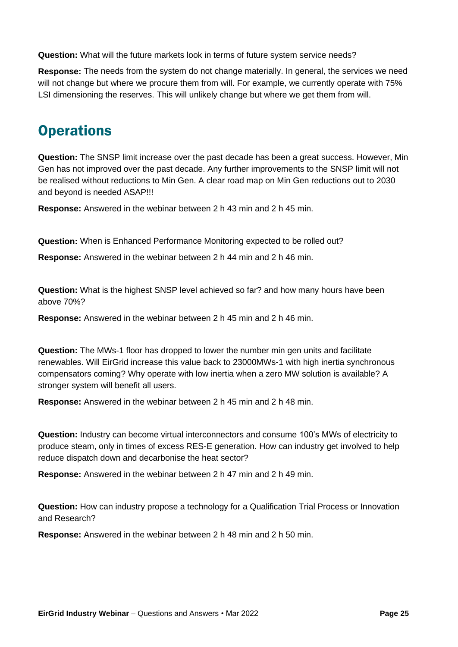**Question:** What will the future markets look in terms of future system service needs?

**Response:** The needs from the system do not change materially. In general, the services we need will not change but where we procure them from will. For example, we currently operate with 75% LSI dimensioning the reserves. This will unlikely change but where we get them from will.

# **Operations**

**Question:** The SNSP limit increase over the past decade has been a great success. However, Min Gen has not improved over the past decade. Any further improvements to the SNSP limit will not be realised without reductions to Min Gen. A clear road map on Min Gen reductions out to 2030 and beyond is needed ASAP!!!

**Response:** Answered in the webinar between 2 h 43 min and 2 h 45 min.

**Question:** When is Enhanced Performance Monitoring expected to be rolled out?

**Response:** Answered in the webinar between 2 h 44 min and 2 h 46 min.

**Question:** What is the highest SNSP level achieved so far? and how many hours have been above 70%?

**Response:** Answered in the webinar between 2 h 45 min and 2 h 46 min.

**Question:** The MWs-1 floor has dropped to lower the number min gen units and facilitate renewables. Will EirGrid increase this value back to 23000MWs-1 with high inertia synchronous compensators coming? Why operate with low inertia when a zero MW solution is available? A stronger system will benefit all users.

**Response:** Answered in the webinar between 2 h 45 min and 2 h 48 min.

**Question:** Industry can become virtual interconnectors and consume 100's MWs of electricity to produce steam, only in times of excess RES-E generation. How can industry get involved to help reduce dispatch down and decarbonise the heat sector?

**Response:** Answered in the webinar between 2 h 47 min and 2 h 49 min.

**Question:** How can industry propose a technology for a Qualification Trial Process or Innovation and Research?

**Response:** Answered in the webinar between 2 h 48 min and 2 h 50 min.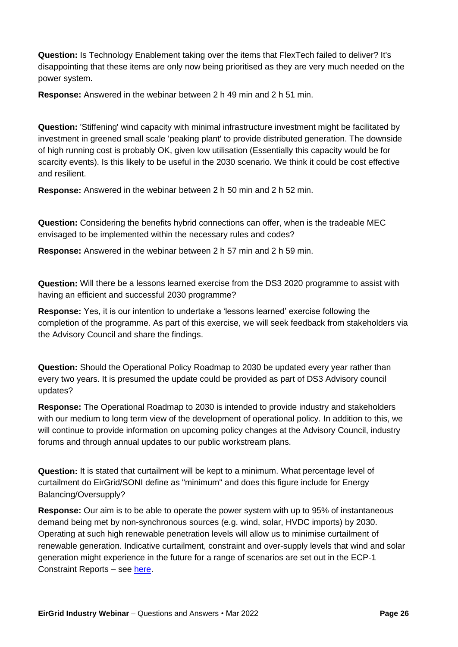**Question:** Is Technology Enablement taking over the items that FlexTech failed to deliver? It's disappointing that these items are only now being prioritised as they are very much needed on the power system.

**Response:** Answered in the webinar between 2 h 49 min and 2 h 51 min.

**Question:** 'Stiffening' wind capacity with minimal infrastructure investment might be facilitated by investment in greened small scale 'peaking plant' to provide distributed generation. The downside of high running cost is probably OK, given low utilisation (Essentially this capacity would be for scarcity events). Is this likely to be useful in the 2030 scenario. We think it could be cost effective and resilient.

**Response:** Answered in the webinar between 2 h 50 min and 2 h 52 min.

**Question:** Considering the benefits hybrid connections can offer, when is the tradeable MEC envisaged to be implemented within the necessary rules and codes?

**Response:** Answered in the webinar between 2 h 57 min and 2 h 59 min.

**Question:** Will there be a lessons learned exercise from the DS3 2020 programme to assist with having an efficient and successful 2030 programme?

**Response:** Yes, it is our intention to undertake a 'lessons learned' exercise following the completion of the programme. As part of this exercise, we will seek feedback from stakeholders via the Advisory Council and share the findings.

**Question:** Should the Operational Policy Roadmap to 2030 be updated every year rather than every two years. It is presumed the update could be provided as part of DS3 Advisory council updates?

**Response:** The Operational Roadmap to 2030 is intended to provide industry and stakeholders with our medium to long term view of the development of operational policy. In addition to this, we will continue to provide information on upcoming policy changes at the Advisory Council, industry forums and through annual updates to our public workstream plans.

**Question:** It is stated that curtailment will be kept to a minimum. What percentage level of curtailment do EirGrid/SONI define as "minimum" and does this figure include for Energy Balancing/Oversupply?

**Response:** Our aim is to be able to operate the power system with up to 95% of instantaneous demand being met by non-synchronous sources (e.g. wind, solar, HVDC imports) by 2030. Operating at such high renewable penetration levels will allow us to minimise curtailment of renewable generation. Indicative curtailment, constraint and over-supply levels that wind and solar generation might experience in the future for a range of scenarios are set out in the ECP-1 Constraint Reports – see [here.](https://www.eirgridgroup.com/customer-and-industry/general-customer-information/constraint-reports-solar/)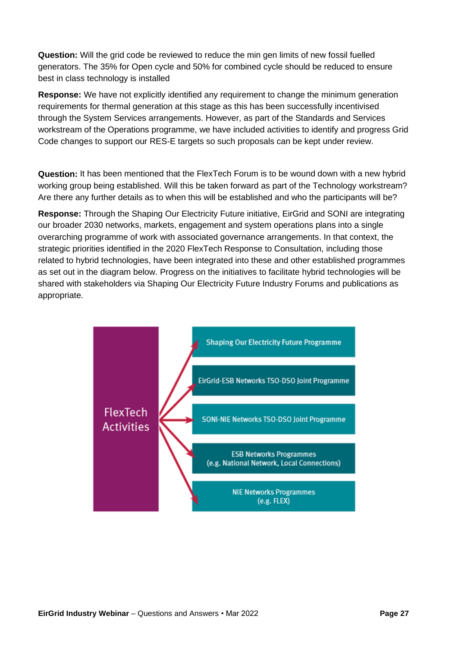**Question:** Will the grid code be reviewed to reduce the min gen limits of new fossil fuelled generators. The 35% for Open cycle and 50% for combined cycle should be reduced to ensure best in class technology is installed

**Response:** We have not explicitly identified any requirement to change the minimum generation requirements for thermal generation at this stage as this has been successfully incentivised through the System Services arrangements. However, as part of the Standards and Services workstream of the Operations programme, we have included activities to identify and progress Grid Code changes to support our RES-E targets so such proposals can be kept under review.

**Question:** It has been mentioned that the FlexTech Forum is to be wound down with a new hybrid working group being established. Will this be taken forward as part of the Technology workstream? Are there any further details as to when this will be established and who the participants will be?

**Response:** Through the Shaping Our Electricity Future initiative, EirGrid and SONI are integrating our broader 2030 networks, markets, engagement and system operations plans into a single overarching programme of work with associated governance arrangements. In that context, the strategic priorities identified in the 2020 FlexTech Response to Consultation, including those related to hybrid technologies, have been integrated into these and other established programmes as set out in the diagram below. Progress on the initiatives to facilitate hybrid technologies will be shared with stakeholders via Shaping Our Electricity Future Industry Forums and publications as appropriate.